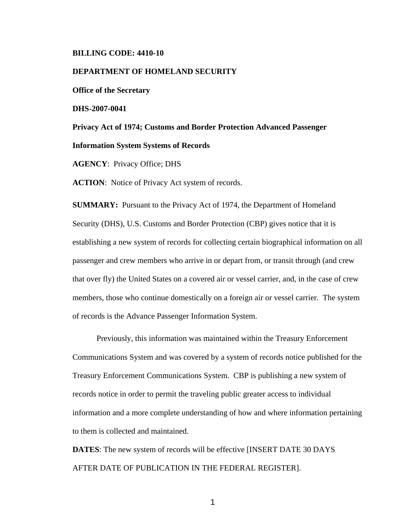## **BILLING CODE: 4410-10**

### **DEPARTMENT OF HOMELAND SECURITY**

**Office of the Secretary** 

**DHS-2007-0041** 

**Privacy Act of 1974; Customs and Border Protection Advanced Passenger Information System Systems of Records** 

**AGENCY**: Privacy Office; DHS

**ACTION**: Notice of Privacy Act system of records.

**SUMMARY:** Pursuant to the Privacy Act of 1974, the Department of Homeland Security (DHS), U.S. Customs and Border Protection (CBP) gives notice that it is establishing a new system of records for collecting certain biographical information on all passenger and crew members who arrive in or depart from, or transit through (and crew that over fly) the United States on a covered air or vessel carrier, and, in the case of crew members, those who continue domestically on a foreign air or vessel carrier. The system of records is the Advance Passenger Information System.

 Previously, this information was maintained within the Treasury Enforcement Communications System and was covered by a system of records notice published for the Treasury Enforcement Communications System. CBP is publishing a new system of records notice in order to permit the traveling public greater access to individual information and a more complete understanding of how and where information pertaining to them is collected and maintained.

**DATES**: The new system of records will be effective [INSERT DATE 30 DAYS AFTER DATE OF PUBLICATION IN THE FEDERAL REGISTER].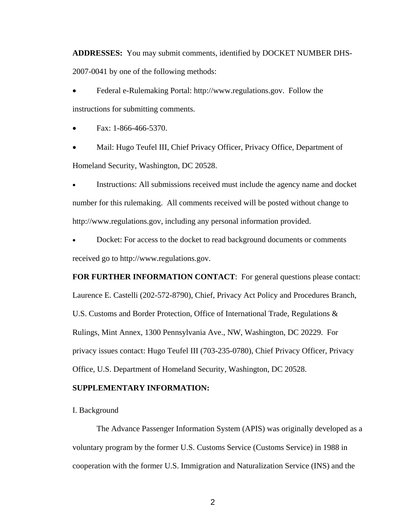**ADDRESSES:** You may submit comments, identified by DOCKET NUMBER DHS-2007-0041 by one of the following methods:

• Federal e-Rulemaking Portal: http://www.regulations.gov. Follow the instructions for submitting comments.

• Fax: 1-866-466-5370.

• Mail: Hugo Teufel III, Chief Privacy Officer, Privacy Office, Department of Homeland Security, Washington, DC 20528.

Instructions: All submissions received must include the agency name and docket number for this rulemaking. All comments received will be posted without change to http://www.regulations.gov, including any personal information provided.

• Docket: For access to the docket to read background documents or comments received go to http://www.regulations.gov.

**FOR FURTHER INFORMATION CONTACT**: For general questions please contact: Laurence E. Castelli (202-572-8790), Chief, Privacy Act Policy and Procedures Branch, U.S. Customs and Border Protection, Office of International Trade, Regulations & Rulings, Mint Annex, 1300 Pennsylvania Ave., NW, Washington, DC 20229. For privacy issues contact: Hugo Teufel III (703-235-0780), Chief Privacy Officer, Privacy Office, U.S. Department of Homeland Security, Washington, DC 20528.

## **SUPPLEMENTARY INFORMATION:**

I. Background

 The Advance Passenger Information System (APIS) was originally developed as a voluntary program by the former U.S. Customs Service (Customs Service) in 1988 in cooperation with the former U.S. Immigration and Naturalization Service (INS) and the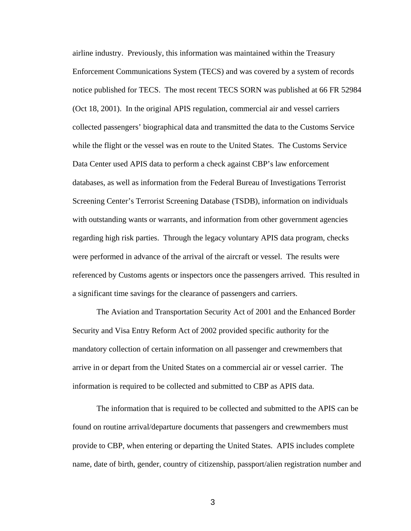airline industry. Previously, this information was maintained within the Treasury Enforcement Communications System (TECS) and was covered by a system of records notice published for TECS. The most recent TECS SORN was published at 66 FR 52984 (Oct 18, 2001). In the original APIS regulation, commercial air and vessel carriers collected passengers' biographical data and transmitted the data to the Customs Service while the flight or the vessel was en route to the United States. The Customs Service Data Center used APIS data to perform a check against CBP's law enforcement databases, as well as information from the Federal Bureau of Investigations Terrorist Screening Center's Terrorist Screening Database (TSDB), information on individuals with outstanding wants or warrants, and information from other government agencies regarding high risk parties. Through the legacy voluntary APIS data program, checks were performed in advance of the arrival of the aircraft or vessel. The results were referenced by Customs agents or inspectors once the passengers arrived. This resulted in a significant time savings for the clearance of passengers and carriers.

The Aviation and Transportation Security Act of 2001 and the Enhanced Border Security and Visa Entry Reform Act of 2002 provided specific authority for the mandatory collection of certain information on all passenger and crewmembers that arrive in or depart from the United States on a commercial air or vessel carrier. The information is required to be collected and submitted to CBP as APIS data.

The information that is required to be collected and submitted to the APIS can be found on routine arrival/departure documents that passengers and crewmembers must provide to CBP, when entering or departing the United States. APIS includes complete name, date of birth, gender, country of citizenship, passport/alien registration number and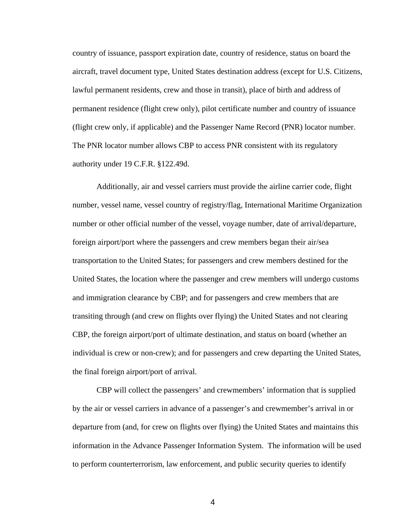country of issuance, passport expiration date, country of residence, status on board the aircraft, travel document type, United States destination address (except for U.S. Citizens, lawful permanent residents, crew and those in transit), place of birth and address of permanent residence (flight crew only), pilot certificate number and country of issuance (flight crew only, if applicable) and the Passenger Name Record (PNR) locator number. The PNR locator number allows CBP to access PNR consistent with its regulatory authority under 19 C.F.R. §122.49d.

 Additionally, air and vessel carriers must provide the airline carrier code, flight number, vessel name, vessel country of registry/flag, International Maritime Organization number or other official number of the vessel, voyage number, date of arrival/departure, foreign airport/port where the passengers and crew members began their air/sea transportation to the United States; for passengers and crew members destined for the United States, the location where the passenger and crew members will undergo customs and immigration clearance by CBP; and for passengers and crew members that are transiting through (and crew on flights over flying) the United States and not clearing CBP, the foreign airport/port of ultimate destination, and status on board (whether an individual is crew or non-crew); and for passengers and crew departing the United States, the final foreign airport/port of arrival.

CBP will collect the passengers' and crewmembers' information that is supplied by the air or vessel carriers in advance of a passenger's and crewmember's arrival in or departure from (and, for crew on flights over flying) the United States and maintains this information in the Advance Passenger Information System. The information will be used to perform counterterrorism, law enforcement, and public security queries to identify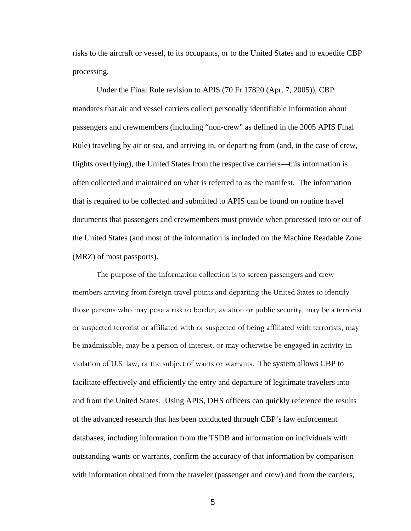risks to the aircraft or vessel, to its occupants, or to the United States and to expedite CBP processing.

 Under the Final Rule revision to APIS (70 Fr 17820 (Apr. 7, 2005)), CBP mandates that air and vessel carriers collect personally identifiable information about passengers and crewmembers (including "non-crew" as defined in the 2005 APIS Final Rule) traveling by air or sea, and arriving in, or departing from (and, in the case of crew, flights overflying), the United States from the respective carriers—this information is often collected and maintained on what is referred to as the manifest. The information that is required to be collected and submitted to APIS can be found on routine travel documents that passengers and crewmembers must provide when processed into or out of the United States (and most of the information is included on the Machine Readable Zone (MRZ) of most passports).

The purpose of the information collection is to screen passengers and crew members arriving from foreign travel points and departing the United States to identify those persons who may pose a risk to border, aviation or public security, may be a terrorist or suspected terrorist or affiliated with or suspected of being affiliated with terrorists, may be inadmissible, may be a person of interest, or may otherwise be engaged in activity in violation of U.S. law, or the subject of wants or warrants. The system allows CBP to facilitate effectively and efficiently the entry and departure of legitimate travelers into and from the United States. Using APIS, DHS officers can quickly reference the results of the advanced research that has been conducted through CBP's law enforcement databases, including information from the TSDB and information on individuals with outstanding wants or warrants, confirm the accuracy of that information by comparison with information obtained from the traveler (passenger and crew) and from the carriers,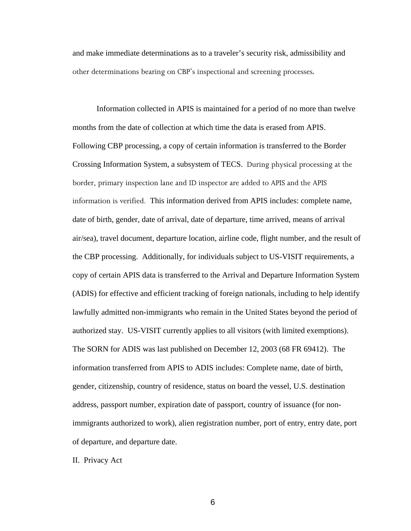and make immediate determinations as to a traveler's security risk, admissibility and other determinations bearing on CBP's inspectional and screening processes.

 Information collected in APIS is maintained for a period of no more than twelve months from the date of collection at which time the data is erased from APIS. Following CBP processing, a copy of certain information is transferred to the Border Crossing Information System, a subsystem of TECS. During physical processing at the border, primary inspection lane and ID inspector are added to APIS and the APIS information is verified. This information derived from APIS includes: complete name, date of birth, gender, date of arrival, date of departure, time arrived, means of arrival air/sea), travel document, departure location, airline code, flight number, and the result of the CBP processing. Additionally, for individuals subject to US-VISIT requirements, a copy of certain APIS data is transferred to the Arrival and Departure Information System (ADIS) for effective and efficient tracking of foreign nationals, including to help identify lawfully admitted non-immigrants who remain in the United States beyond the period of authorized stay. US-VISIT currently applies to all visitors (with limited exemptions). The SORN for ADIS was last published on December 12, 2003 (68 FR 69412). The information transferred from APIS to ADIS includes: Complete name, date of birth, gender, citizenship, country of residence, status on board the vessel, U.S. destination address, passport number, expiration date of passport, country of issuance (for nonimmigrants authorized to work), alien registration number, port of entry, entry date, port of departure, and departure date.

II. Privacy Act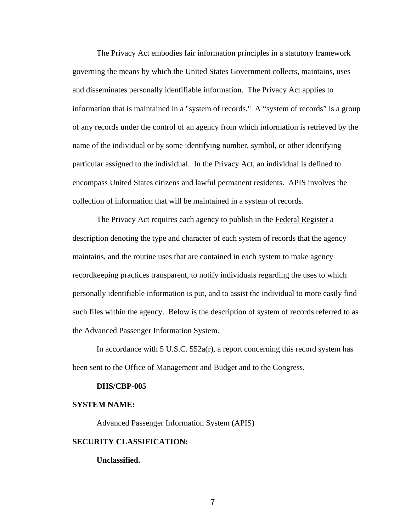The Privacy Act embodies fair information principles in a statutory framework governing the means by which the United States Government collects, maintains, uses and disseminates personally identifiable information. The Privacy Act applies to information that is maintained in a "system of records." A "system of records" is a group of any records under the control of an agency from which information is retrieved by the name of the individual or by some identifying number, symbol, or other identifying particular assigned to the individual. In the Privacy Act, an individual is defined to encompass United States citizens and lawful permanent residents. APIS involves the collection of information that will be maintained in a system of records.

 The Privacy Act requires each agency to publish in the Federal Register a description denoting the type and character of each system of records that the agency maintains, and the routine uses that are contained in each system to make agency recordkeeping practices transparent, to notify individuals regarding the uses to which personally identifiable information is put, and to assist the individual to more easily find such files within the agency. Below is the description of system of records referred to as the Advanced Passenger Information System.

In accordance with 5 U.S.C. 552a(r), a report concerning this record system has been sent to the Office of Management and Budget and to the Congress.

#### **DHS/CBP-005**

## **SYSTEM NAME:**

Advanced Passenger Information System (APIS)

## **SECURITY CLASSIFICATION:**

**Unclassified.**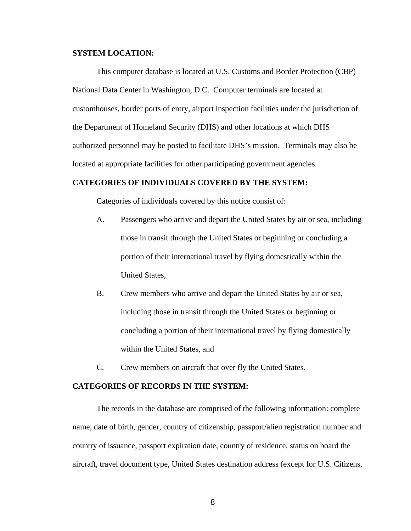## **SYSTEM LOCATION:**

 This computer database is located at U.S. Customs and Border Protection (CBP) National Data Center in Washington, D.C. Computer terminals are located at customhouses, border ports of entry, airport inspection facilities under the jurisdiction of the Department of Homeland Security (DHS) and other locations at which DHS authorized personnel may be posted to facilitate DHS's mission. Terminals may also be located at appropriate facilities for other participating government agencies.

## **CATEGORIES OF INDIVIDUALS COVERED BY THE SYSTEM:**

Categories of individuals covered by this notice consist of:

- A. Passengers who arrive and depart the United States by air or sea, including those in transit through the United States or beginning or concluding a portion of their international travel by flying domestically within the United States,
- B. Crew members who arrive and depart the United States by air or sea, including those in transit through the United States or beginning or concluding a portion of their international travel by flying domestically within the United States, and
- C. Crew members on aircraft that over fly the United States.

### **CATEGORIES OF RECORDS IN THE SYSTEM:**

The records in the database are comprised of the following information: complete name, date of birth, gender, country of citizenship, passport/alien registration number and country of issuance, passport expiration date, country of residence, status on board the aircraft, travel document type, United States destination address (except for U.S. Citizens,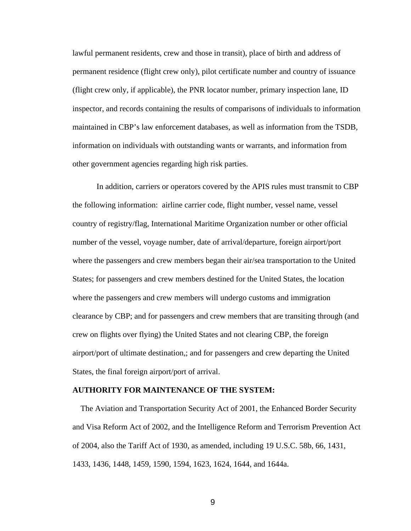lawful permanent residents, crew and those in transit), place of birth and address of permanent residence (flight crew only), pilot certificate number and country of issuance (flight crew only, if applicable), the PNR locator number, primary inspection lane, ID inspector, and records containing the results of comparisons of individuals to information maintained in CBP's law enforcement databases, as well as information from the TSDB, information on individuals with outstanding wants or warrants, and information from other government agencies regarding high risk parties.

In addition, carriers or operators covered by the APIS rules must transmit to CBP the following information: airline carrier code, flight number, vessel name, vessel country of registry/flag, International Maritime Organization number or other official number of the vessel, voyage number, date of arrival/departure, foreign airport/port where the passengers and crew members began their air/sea transportation to the United States; for passengers and crew members destined for the United States, the location where the passengers and crew members will undergo customs and immigration clearance by CBP; and for passengers and crew members that are transiting through (and crew on flights over flying) the United States and not clearing CBP, the foreign airport/port of ultimate destination,; and for passengers and crew departing the United States, the final foreign airport/port of arrival.

## **AUTHORITY FOR MAINTENANCE OF THE SYSTEM:**

 The Aviation and Transportation Security Act of 2001, the Enhanced Border Security and Visa Reform Act of 2002, and the Intelligence Reform and Terrorism Prevention Act of 2004, also the Tariff Act of 1930, as amended, including 19 U.S.C. 58b, 66, 1431, 1433, 1436, 1448, 1459, 1590, 1594, 1623, 1624, 1644, and 1644a.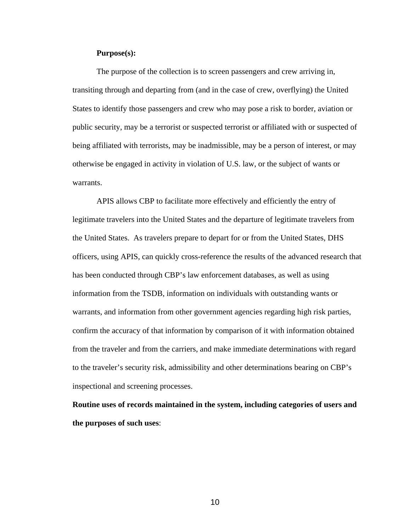## **Purpose(s):**

 The purpose of the collection is to screen passengers and crew arriving in, transiting through and departing from (and in the case of crew, overflying) the United States to identify those passengers and crew who may pose a risk to border, aviation or public security, may be a terrorist or suspected terrorist or affiliated with or suspected of being affiliated with terrorists, may be inadmissible, may be a person of interest, or may otherwise be engaged in activity in violation of U.S. law, or the subject of wants or warrants.

 APIS allows CBP to facilitate more effectively and efficiently the entry of legitimate travelers into the United States and the departure of legitimate travelers from the United States. As travelers prepare to depart for or from the United States, DHS officers, using APIS, can quickly cross-reference the results of the advanced research that has been conducted through CBP's law enforcement databases, as well as using information from the TSDB, information on individuals with outstanding wants or warrants, and information from other government agencies regarding high risk parties, confirm the accuracy of that information by comparison of it with information obtained from the traveler and from the carriers, and make immediate determinations with regard to the traveler's security risk, admissibility and other determinations bearing on CBP's inspectional and screening processes.

**Routine uses of records maintained in the system, including categories of users and the purposes of such uses**: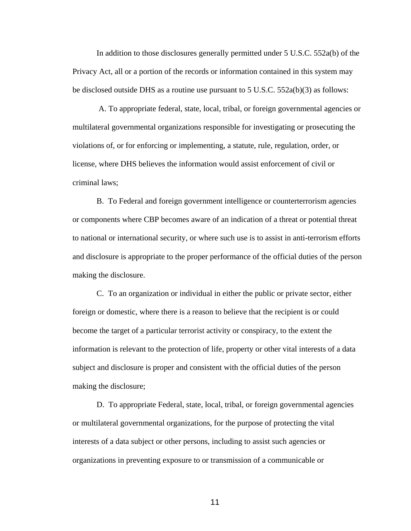In addition to those disclosures generally permitted under 5 U.S.C. 552a(b) of the Privacy Act, all or a portion of the records or information contained in this system may be disclosed outside DHS as a routine use pursuant to  $5 \text{ U.S.C. } 552a(b)(3)$  as follows:

 A. To appropriate federal, state, local, tribal, or foreign governmental agencies or multilateral governmental organizations responsible for investigating or prosecuting the violations of, or for enforcing or implementing, a statute, rule, regulation, order, or license, where DHS believes the information would assist enforcement of civil or criminal laws;

 B. To Federal and foreign government intelligence or counterterrorism agencies or components where CBP becomes aware of an indication of a threat or potential threat to national or international security, or where such use is to assist in anti-terrorism efforts and disclosure is appropriate to the proper performance of the official duties of the person making the disclosure.

 C. To an organization or individual in either the public or private sector, either foreign or domestic, where there is a reason to believe that the recipient is or could become the target of a particular terrorist activity or conspiracy, to the extent the information is relevant to the protection of life, property or other vital interests of a data subject and disclosure is proper and consistent with the official duties of the person making the disclosure;

 D. To appropriate Federal, state, local, tribal, or foreign governmental agencies or multilateral governmental organizations, for the purpose of protecting the vital interests of a data subject or other persons, including to assist such agencies or organizations in preventing exposure to or transmission of a communicable or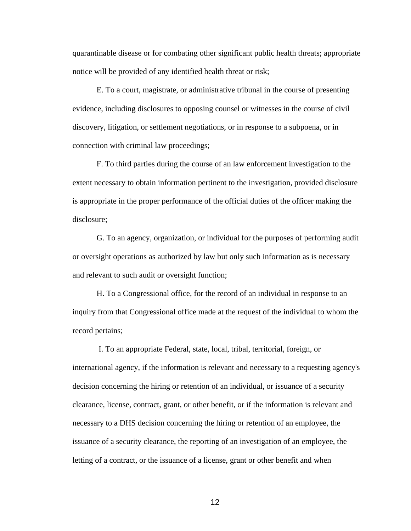quarantinable disease or for combating other significant public health threats; appropriate notice will be provided of any identified health threat or risk;

 E. To a court, magistrate, or administrative tribunal in the course of presenting evidence, including disclosures to opposing counsel or witnesses in the course of civil discovery, litigation, or settlement negotiations, or in response to a subpoena, or in connection with criminal law proceedings;

 F. To third parties during the course of an law enforcement investigation to the extent necessary to obtain information pertinent to the investigation, provided disclosure is appropriate in the proper performance of the official duties of the officer making the disclosure;

 G. To an agency, organization, or individual for the purposes of performing audit or oversight operations as authorized by law but only such information as is necessary and relevant to such audit or oversight function;

 H. To a Congressional office, for the record of an individual in response to an inquiry from that Congressional office made at the request of the individual to whom the record pertains;

 I. To an appropriate Federal, state, local, tribal, territorial, foreign, or international agency, if the information is relevant and necessary to a requesting agency's decision concerning the hiring or retention of an individual, or issuance of a security clearance, license, contract, grant, or other benefit, or if the information is relevant and necessary to a DHS decision concerning the hiring or retention of an employee, the issuance of a security clearance, the reporting of an investigation of an employee, the letting of a contract, or the issuance of a license, grant or other benefit and when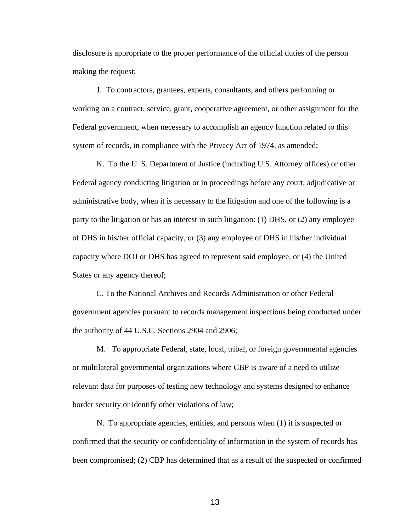disclosure is appropriate to the proper performance of the official duties of the person making the request;

 J. To contractors, grantees, experts, consultants, and others performing or working on a contract, service, grant, cooperative agreement, or other assignment for the Federal government, when necessary to accomplish an agency function related to this system of records, in compliance with the Privacy Act of 1974, as amended;

 K. To the U. S. Department of Justice (including U.S. Attorney offices) or other Federal agency conducting litigation or in proceedings before any court, adjudicative or administrative body, when it is necessary to the litigation and one of the following is a party to the litigation or has an interest in such litigation: (1) DHS, or (2) any employee of DHS in his/her official capacity, or (3) any employee of DHS in his/her individual capacity where DOJ or DHS has agreed to represent said employee, or (4) the United States or any agency thereof;

 L. To the National Archives and Records Administration or other Federal government agencies pursuant to records management inspections being conducted under the authority of 44 U.S.C. Sections 2904 and 2906;

 M. To appropriate Federal, state, local, tribal, or foreign governmental agencies or multilateral governmental organizations where CBP is aware of a need to utilize relevant data for purposes of testing new technology and systems designed to enhance border security or identify other violations of law;

 N. To appropriate agencies, entities, and persons when (1) it is suspected or confirmed that the security or confidentiality of information in the system of records has been compromised; (2) CBP has determined that as a result of the suspected or confirmed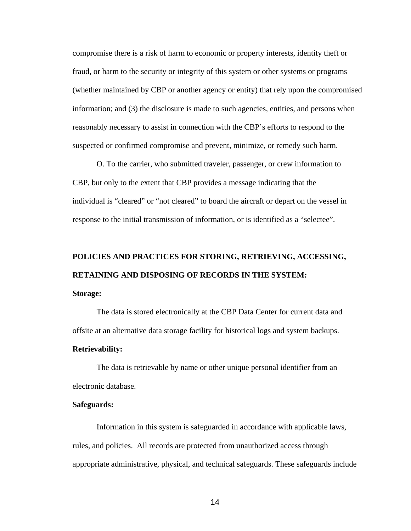compromise there is a risk of harm to economic or property interests, identity theft or fraud, or harm to the security or integrity of this system or other systems or programs (whether maintained by CBP or another agency or entity) that rely upon the compromised information; and (3) the disclosure is made to such agencies, entities, and persons when reasonably necessary to assist in connection with the CBP's efforts to respond to the suspected or confirmed compromise and prevent, minimize, or remedy such harm.

O. To the carrier, who submitted traveler, passenger, or crew information to CBP, but only to the extent that CBP provides a message indicating that the individual is "cleared" or "not cleared" to board the aircraft or depart on the vessel in response to the initial transmission of information, or is identified as a "selectee".

# **POLICIES AND PRACTICES FOR STORING, RETRIEVING, ACCESSING, RETAINING AND DISPOSING OF RECORDS IN THE SYSTEM: Storage:**

 The data is stored electronically at the CBP Data Center for current data and offsite at an alternative data storage facility for historical logs and system backups.

## **Retrievability:**

 The data is retrievable by name or other unique personal identifier from an electronic database.

## **Safeguards:**

Information in this system is safeguarded in accordance with applicable laws, rules, and policies. All records are protected from unauthorized access through appropriate administrative, physical, and technical safeguards. These safeguards include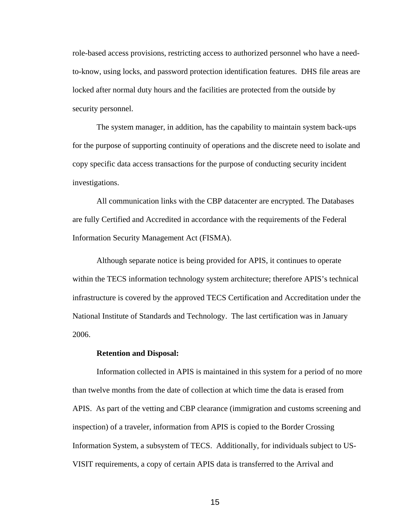role-based access provisions, restricting access to authorized personnel who have a needto-know, using locks, and password protection identification features. DHS file areas are locked after normal duty hours and the facilities are protected from the outside by security personnel.

The system manager, in addition, has the capability to maintain system back-ups for the purpose of supporting continuity of operations and the discrete need to isolate and copy specific data access transactions for the purpose of conducting security incident investigations.

All communication links with the CBP datacenter are encrypted. The Databases are fully Certified and Accredited in accordance with the requirements of the Federal Information Security Management Act (FISMA).

Although separate notice is being provided for APIS, it continues to operate within the TECS information technology system architecture; therefore APIS's technical infrastructure is covered by the approved TECS Certification and Accreditation under the National Institute of Standards and Technology. The last certification was in January 2006.

### **Retention and Disposal:**

 Information collected in APIS is maintained in this system for a period of no more than twelve months from the date of collection at which time the data is erased from APIS. As part of the vetting and CBP clearance (immigration and customs screening and inspection) of a traveler, information from APIS is copied to the Border Crossing Information System, a subsystem of TECS. Additionally, for individuals subject to US-VISIT requirements, a copy of certain APIS data is transferred to the Arrival and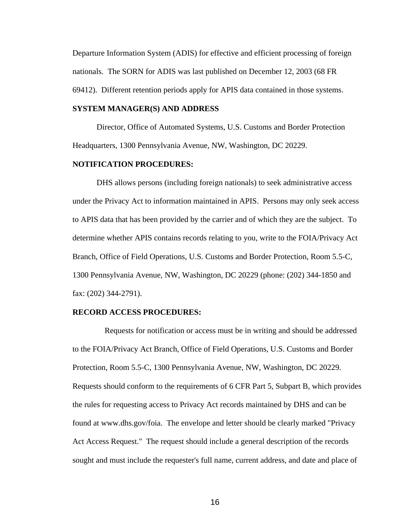Departure Information System (ADIS) for effective and efficient processing of foreign nationals. The SORN for ADIS was last published on December 12, 2003 (68 FR 69412). Different retention periods apply for APIS data contained in those systems.

## **SYSTEM MANAGER(S) AND ADDRESS**

 Director, Office of Automated Systems, U.S. Customs and Border Protection Headquarters, 1300 Pennsylvania Avenue, NW, Washington, DC 20229.

## **NOTIFICATION PROCEDURES:**

 DHS allows persons (including foreign nationals) to seek administrative access under the Privacy Act to information maintained in APIS. Persons may only seek access to APIS data that has been provided by the carrier and of which they are the subject. To determine whether APIS contains records relating to you, write to the FOIA/Privacy Act Branch, Office of Field Operations, U.S. Customs and Border Protection, Room 5.5-C, 1300 Pennsylvania Avenue, NW, Washington, DC 20229 (phone: (202) 344-1850 and fax: (202) 344-2791).

### **RECORD ACCESS PROCEDURES:**

 Requests for notification or access must be in writing and should be addressed to the FOIA/Privacy Act Branch, Office of Field Operations, U.S. Customs and Border Protection, Room 5.5-C, 1300 Pennsylvania Avenue, NW, Washington, DC 20229. Requests should conform to the requirements of 6 CFR Part 5, Subpart B, which provides the rules for requesting access to Privacy Act records maintained by DHS and can be found at www.dhs.gov/foia. The envelope and letter should be clearly marked "Privacy Act Access Request." The request should include a general description of the records sought and must include the requester's full name, current address, and date and place of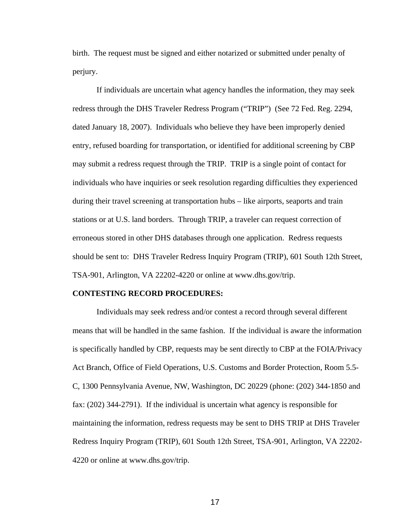birth. The request must be signed and either notarized or submitted under penalty of perjury.

If individuals are uncertain what agency handles the information, they may seek redress through the DHS Traveler Redress Program ("TRIP") (See 72 Fed. Reg. 2294, dated January 18, 2007). Individuals who believe they have been improperly denied entry, refused boarding for transportation, or identified for additional screening by CBP may submit a redress request through the TRIP. TRIP is a single point of contact for individuals who have inquiries or seek resolution regarding difficulties they experienced during their travel screening at transportation hubs – like airports, seaports and train stations or at U.S. land borders. Through TRIP, a traveler can request correction of erroneous stored in other DHS databases through one application. Redress requests should be sent to: DHS Traveler Redress Inquiry Program (TRIP), 601 South 12th Street, TSA-901, Arlington, VA 22202-4220 or online at www.dhs.gov/trip.

### **CONTESTING RECORD PROCEDURES:**

Individuals may seek redress and/or contest a record through several different means that will be handled in the same fashion. If the individual is aware the information is specifically handled by CBP, requests may be sent directly to CBP at the FOIA/Privacy Act Branch, Office of Field Operations, U.S. Customs and Border Protection, Room 5.5- C, 1300 Pennsylvania Avenue, NW, Washington, DC 20229 (phone: (202) 344-1850 and fax: (202) 344-2791). If the individual is uncertain what agency is responsible for maintaining the information, redress requests may be sent to DHS TRIP at DHS Traveler Redress Inquiry Program (TRIP), 601 South 12th Street, TSA-901, Arlington, VA 22202- 4220 or online at www.dhs.gov/trip.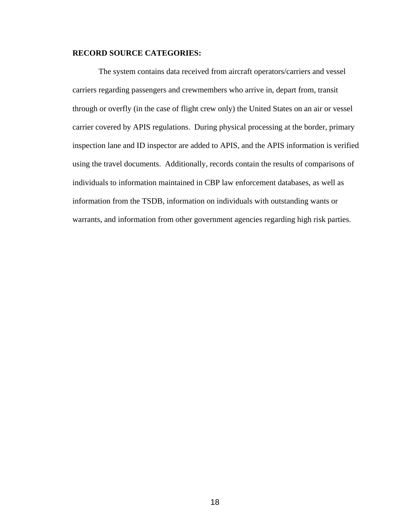# **RECORD SOURCE CATEGORIES:**

The system contains data received from aircraft operators/carriers and vessel carriers regarding passengers and crewmembers who arrive in, depart from, transit through or overfly (in the case of flight crew only) the United States on an air or vessel carrier covered by APIS regulations. During physical processing at the border, primary inspection lane and ID inspector are added to APIS, and the APIS information is verified using the travel documents. Additionally, records contain the results of comparisons of individuals to information maintained in CBP law enforcement databases, as well as information from the TSDB, information on individuals with outstanding wants or warrants, and information from other government agencies regarding high risk parties.